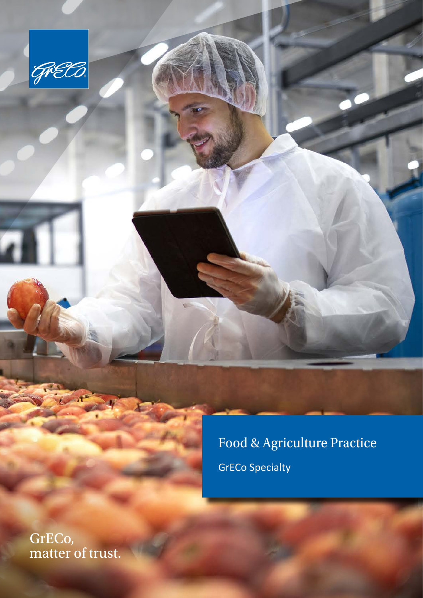

Food & Agriculture Practice

GrECo Specialty

GrECo,<br>matter of trust.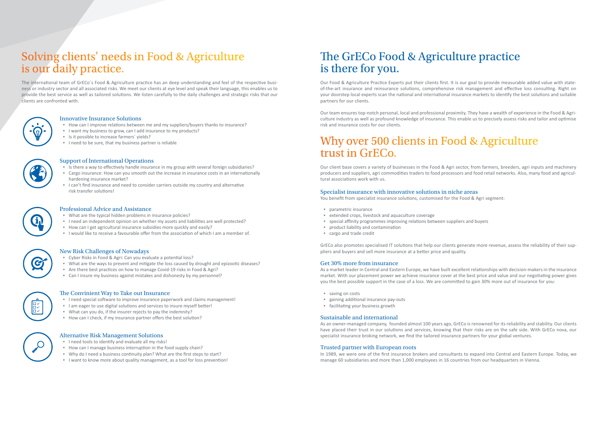## Solving clients' needs in Food & Agriculture is our daily practice.

The international team of GrECo´s Food & Agriculture practice has an deep understanding and feel of the respective business or industry sector and all associated risks. We meet our clients at eye level and speak their language, this enables us to provide the best service as well as tailored solutions. We listen carefully to the daily challenges and strategic risks that our clients are confronted with.



#### Innovative Insurance Solutions

- How can I improve relations between me and my suppliers/buyers thanks to insurance?
- I want my business to grow, can I add insurance to my products?
- Is it possible to increase farmers´ yields?
- I need to be sure, that my business partner is reliable



#### Support of International Operations

- Is there a way to effectively handle insurance in my group with several foreign subsidiaries?
- Cargo insurance: How can you smooth out the increase in insurance costs in an internationally hardening insurance market?
- I can't find insurance and need to consider carriers outside my country and alternative risk transfer solutions!



#### Professional Advice and Assistance

- What are the typical hidden problems in insurance policies?
- I need an independent opinion on whether my assets and liabilities are well protected?
- How can I get agricultural insurance subsidies more quickly and easily?
- I would like to receive a favourable offer from the association of which I am a member of.



#### New Risk Challenges of Nowadays

- Cyber Risks in Food & Agri: Can you evaluate a potential loss?
- What are the ways to prevent and mitigate the loss caused by drought and epizootic diseases?
- Are there best practices on how to manage Covid-19 risks in Food & Agri?
- Can I insure my business against mistakes and dishonesty by my personnel?



#### The Convinient Way to Take out Insurance

- I need special software to improve insurance paperwork and claims management!
- I am eager to use digital solutions and services to insure myself better!
- What can you do, if the insurer rejects to pay the indemnity?
- How can I check, if my insurance partner offers the best solution?

#### Alternative Risk Management Solutions

- saving on costs
- gaining additional insurance pay-outs
- facilitating your business growth

- I need tools to identify and evaluate all my risks!
- How can I manage business interruption in the food supply chain?
- Why do I need a business continuity plan? What are the first steps to start?
- I want to know more about quality management, as a tool for loss prevention!

## The GrECo Food & Agriculture practice is there for you.

Our Food & Agriculture Practice Experts put their clients first. It is our goal to provide measurable added value with stateof-the-art insurance and reinsurance solutions, comprehensive risk management and effective loss consulting. Right on your doorstep local experts scan the national and international insurance markets to identify the best solutions and suitable partners for our clients.

Our team ensures top-notch personal, local and professional proximity. They have a wealth of experience in the Food & Agriculture industry as well as profound knowledge of insurance. This enable us to precisely assess risks and tailor and optimise risk and insurance costs for our clients.

## Why over 500 clients in Food & Agriculture trust in GrECo.

Our client base covers a variety of businesses in the Food & Agri sector, from farmers, breeders, agri inputs and machinery producers and suppliers, agri commodities traders to food processors and food retail networks. Also, many food and agricultural associations work with us.

#### Specialist insurance with innovative solutions in niche areas

You benefit from specialist insurance solutions, customised for the Food & Agri segment:

- parametric insurance
- extended crops, livestock and aquaculture coverage
- special affinity programmes improving relations between suppliers and buyers
- product liability and contamination
- cargo and trade credit

GrECo also promotes specialised IT solutions that help our clients generate more revenue, assess the reliability of their suppliers and buyers and sell more insurance at a better price and quality.

#### Get 30% more from insurance

As a market leader in Central and Eastern Europe, we have built excellent relationships with decision-makers in the insurance market. With our placement power we achieve insurance cover at the best price and value and our negotiating power gives you the best possible support in the case of a loss. We are committed to gain 30% more out of insurance for you:

#### Sustainable and international

As an owner-managed company, founded almost 100 years ago, GrECo is renowned for its reliability and stability. Our clients have placed their trust in our solutions and services, knowing that their risks are on the safe side. With GrECo nova, our specialist insurance broking network, we find the tailored insurance partners for your global ventures.

#### Trusted partner with European roots

In 1989, we were one of the first insurance brokers and consultants to expand into Central and Eastern Europe. Today, we manage 60 subsidiaries and more than 1,000 employees in 16 countries from our headquarters in Vienna.